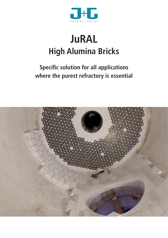

# **JuRAL High Alumina Bricks**

# **Specific solution for all applications where the purest refractory is essential**

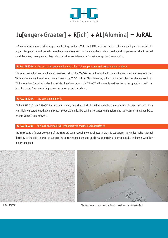

# **Ju[enger+Graeter] + R[ich] + AL[Alumina] = JuRAL**

J+G concentrates his expertise in special refractory products. With the JuRAL-series we have created unique high end products for highest temperature and special atmospheric conditions. With outstanding chemical and mechanical properties, excellent thermal shock behavior, these premium high alumina bricks are tailor-made for extreme application conditions.

#### **JURAL TE400X** – the brick with pure mullite matrix for high temperatures and extreme thermal shock

Manufactured with fused mullite and fused corundum, the **TE400X** gets a fine and uniform mullite matrix without any free silica. This structure is dedicated to processes beyond 1.600 °C such as Claus furnaces, sulfur combustion plants or thermal oxidizers. With more than 50 cycles in the thermal shock resistance test, the **TE400X** will not only easily resist to the operating conditions, but also to the frequent cycling process of start-up and shut-down.

#### **JURAL TE500K** – the pure alumina brick

With 99,5% Al<sub>2</sub>O<sub>3</sub> the **TE500K** does not tolerate any impurity. It is dedicated for reducing atmosphere application in combination with high temperature radiation in syngas production units like gasifiers or autothermal reformers, hydrogen torch, carbon black or high temperature furnaces.

#### **JURAL TE500Z** – the pure alumina brick, with improved thermo shock resistance

The **TE500Z** is a further evolution of the **TE500K**, with special zirconia phases in the microstructure. It provides higher thermal flexibility to the brick in order to support the extreme conditions and gradients, especially at burner, nozzles and areas with thermal cycling load.



JURAL TE400X The shapes can be customized to fit with complex/extraordinary designs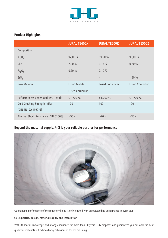

### **Product Highlights**

|                                       | <b>JURAL TE400X</b>   | <b>JURAL TE500K</b>   | <b>JURAL TE500Z</b>   |
|---------------------------------------|-----------------------|-----------------------|-----------------------|
| Composition:                          |                       |                       |                       |
| $\mathsf{Al}_2\mathsf{O}_3$           | 92,00 %               | 99,50 %               | 98,00 %               |
| SiO <sub>2</sub>                      | 7,00 %                | 0,15%                 | 0,20%                 |
| Fe <sub>2</sub> O <sub>3</sub>        | 0,20%                 | 0,10%                 |                       |
| ZrO <sub>2</sub>                      |                       |                       | 1,50 %                |
| <b>Raw Material:</b>                  | <b>Fused Mullite</b>  | <b>Fused Corundum</b> | <b>Fused Corundum</b> |
|                                       | <b>Fused Corundum</b> |                       |                       |
| Refractoriness under load [ISO 1893]: | $>1.700$ °C           | $>1.700$ °C           | $>1.700$ °C           |
| Cold Crushing Strength [MPa]:         | 100                   | 100                   | 100                   |
| [DIN EN ISO 1927-6]                   |                       |                       |                       |
| Thermal Shock Resistance [DIN 51068]  | >50x                  | >20x                  | >35x                  |

## **Beyond the material supply, J+G is your reliable partner for performance**



Outstanding performance of the refractory lining is only reached with an outstanding performance in every step:

### **>> expertise, design, material supply and installation**

With its special knowledge and strong experience for more than 80 years, J+G proposes and guarantees you not only the best quality in materials but extraordinary behaviour of the overall lining.